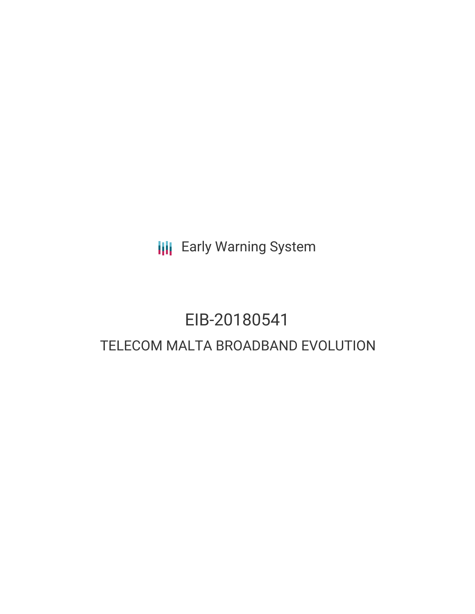**III** Early Warning System

## EIB-20180541 TELECOM MALTA BROADBAND EVOLUTION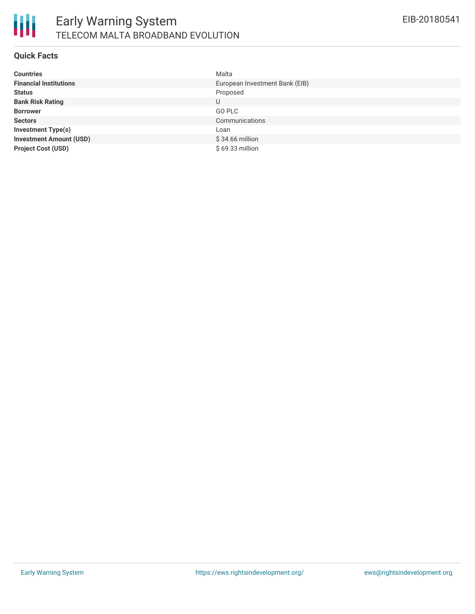

#### **Quick Facts**

| <b>Countries</b>               | Malta                          |
|--------------------------------|--------------------------------|
| <b>Financial Institutions</b>  | European Investment Bank (EIB) |
| <b>Status</b>                  | Proposed                       |
| <b>Bank Risk Rating</b>        | U                              |
| <b>Borrower</b>                | GO PLC                         |
| <b>Sectors</b>                 | Communications                 |
| <b>Investment Type(s)</b>      | Loan                           |
| <b>Investment Amount (USD)</b> | $$34.66$ million               |
| <b>Project Cost (USD)</b>      | $$69.33$ million               |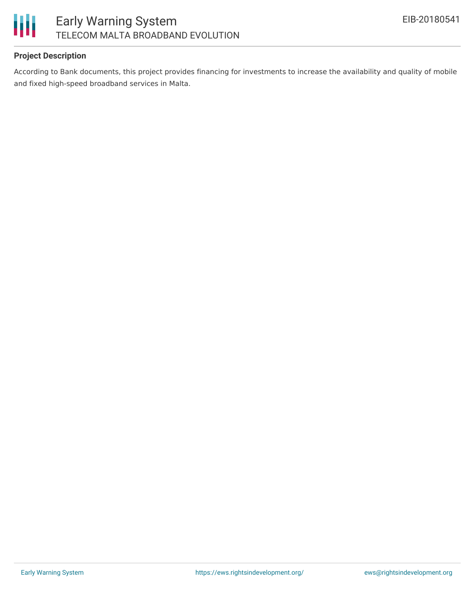

#### **Project Description**

According to Bank documents, this project provides financing for investments to increase the availability and quality of mobile and fixed high-speed broadband services in Malta.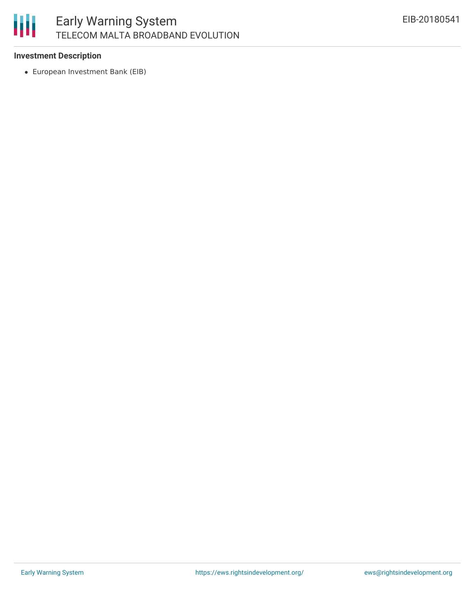# 朋

### Early Warning System TELECOM MALTA BROADBAND EVOLUTION

#### **Investment Description**

European Investment Bank (EIB)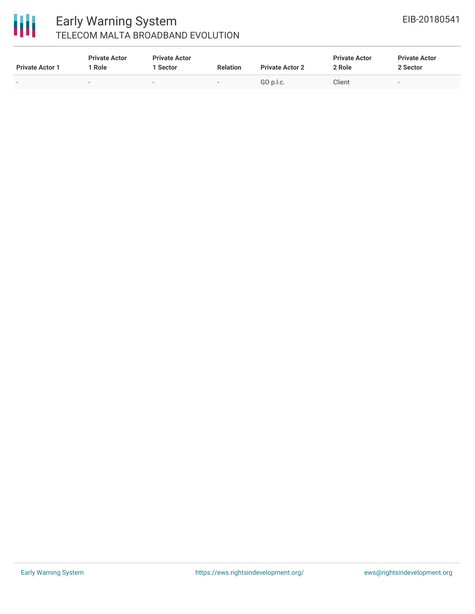# 冊

### Early Warning System TELECOM MALTA BROADBAND EVOLUTION

| <b>Private Actor 1</b>   | <b>Private Actor</b><br>Role | <b>Private Actor</b><br>1 Sector | <b>Relation</b>          | <b>Private Actor 2</b> | <b>Private Actor</b><br>2 Role | <b>Private Actor</b><br>2 Sector |
|--------------------------|------------------------------|----------------------------------|--------------------------|------------------------|--------------------------------|----------------------------------|
| $\overline{\phantom{0}}$ | $\overline{\phantom{a}}$     | $\,$                             | $\overline{\phantom{0}}$ | GO D.I.c.              | Client                         | $\overline{\phantom{0}}$         |